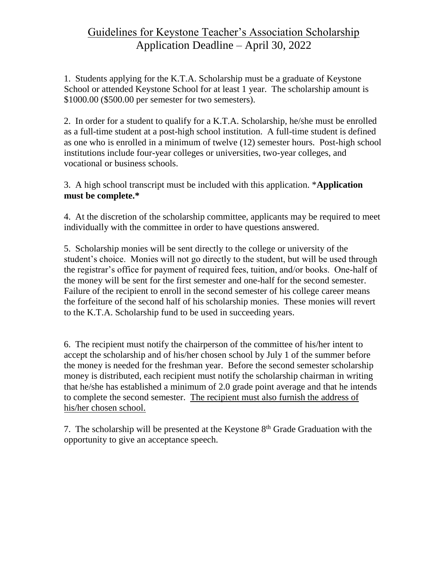## Guidelines for Keystone Teacher's Association Scholarship Application Deadline – April 30, 2022

1. Students applying for the K.T.A. Scholarship must be a graduate of Keystone School or attended Keystone School for at least 1 year. The scholarship amount is \$1000.00 (\$500.00 per semester for two semesters).

2. In order for a student to qualify for a K.T.A. Scholarship, he/she must be enrolled as a full-time student at a post-high school institution. A full-time student is defined as one who is enrolled in a minimum of twelve (12) semester hours. Post-high school institutions include four-year colleges or universities, two-year colleges, and vocational or business schools.

3. A high school transcript must be included with this application. \***Application must be complete.\***

4. At the discretion of the scholarship committee, applicants may be required to meet individually with the committee in order to have questions answered.

5. Scholarship monies will be sent directly to the college or university of the student's choice. Monies will not go directly to the student, but will be used through the registrar's office for payment of required fees, tuition, and/or books. One-half of the money will be sent for the first semester and one-half for the second semester. Failure of the recipient to enroll in the second semester of his college career means the forfeiture of the second half of his scholarship monies. These monies will revert to the K.T.A. Scholarship fund to be used in succeeding years.

6. The recipient must notify the chairperson of the committee of his/her intent to accept the scholarship and of his/her chosen school by July 1 of the summer before the money is needed for the freshman year. Before the second semester scholarship money is distributed, each recipient must notify the scholarship chairman in writing that he/she has established a minimum of 2.0 grade point average and that he intends to complete the second semester. The recipient must also furnish the address of his/her chosen school.

7. The scholarship will be presented at the Keystone  $8<sup>th</sup>$  Grade Graduation with the opportunity to give an acceptance speech.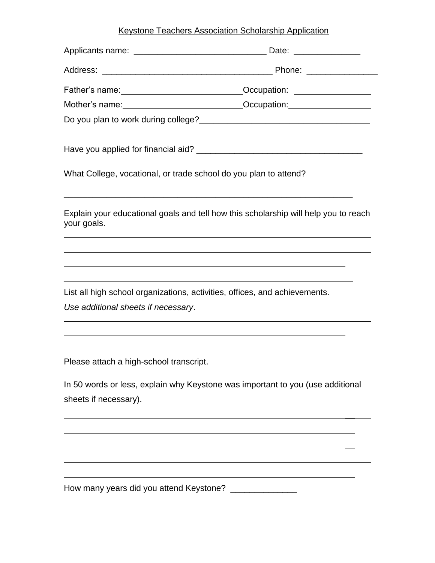## Keystone Teachers Association Scholarship Application

| Father's name: <u>contract and a compact</u> of Compation: contract and contract of the contract of Compatibon: |  |
|-----------------------------------------------------------------------------------------------------------------|--|
| Mother's name: _________________________________Occupation: ____________________                                |  |
|                                                                                                                 |  |
|                                                                                                                 |  |
| What College, vocational, or trade school do you plan to attend?                                                |  |
| Explain your educational goals and tell how this scholarship will help you to reach<br>your goals.              |  |
|                                                                                                                 |  |
| List all high school organizations, activities, offices, and achievements.                                      |  |
| Use additional sheets if necessary.                                                                             |  |
|                                                                                                                 |  |
| Please attach a high-school transcript.                                                                         |  |
| In 50 words or less, explain why Keystone was important to you (use additional<br>sheets if necessary).         |  |
|                                                                                                                 |  |
|                                                                                                                 |  |

\_\_\_ \_ \_\_

How many years did you attend Keystone? \_\_\_\_\_\_\_\_\_\_\_\_\_\_\_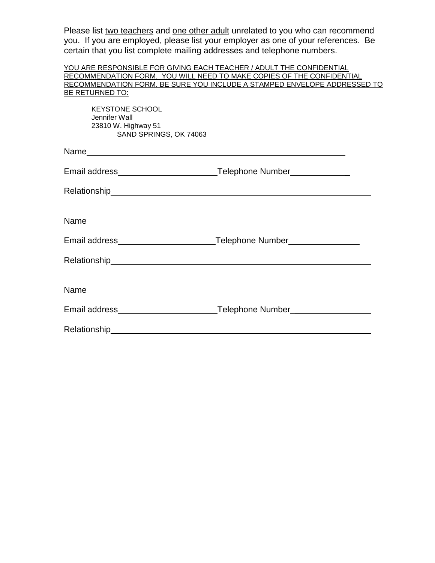Please list two teachers and one other adult unrelated to you who can recommend you. If you are employed, please list your employer as one of your references. Be certain that you list complete mailing addresses and telephone numbers.

| YOU ARE RESPONSIBLE FOR GIVING EACH TEACHER / ADULT THE CONFIDENTIAL     |  |
|--------------------------------------------------------------------------|--|
| RECOMMENDATION FORM. YOU WILL NEED TO MAKE COPIES OF THE CONFIDENTIAL    |  |
| RECOMMENDATION FORM. BE SURE YOU INCLUDE A STAMPED ENVELOPE ADDRESSED TO |  |
| BE RETURNED TO:                                                          |  |

KEYSTONE SCHOOL Jennifer Wall 23810 W. Highway 51 SAND SPRINGS, OK 74063

| Email address___________________________Telephone Number_______________ |                                                                                  |
|-------------------------------------------------------------------------|----------------------------------------------------------------------------------|
|                                                                         |                                                                                  |
|                                                                         |                                                                                  |
|                                                                         | Email address______________________________Telephone Number_____________________ |
|                                                                         |                                                                                  |
|                                                                         |                                                                                  |
|                                                                         | Email address________________________________Telephone Number___________________ |
|                                                                         |                                                                                  |